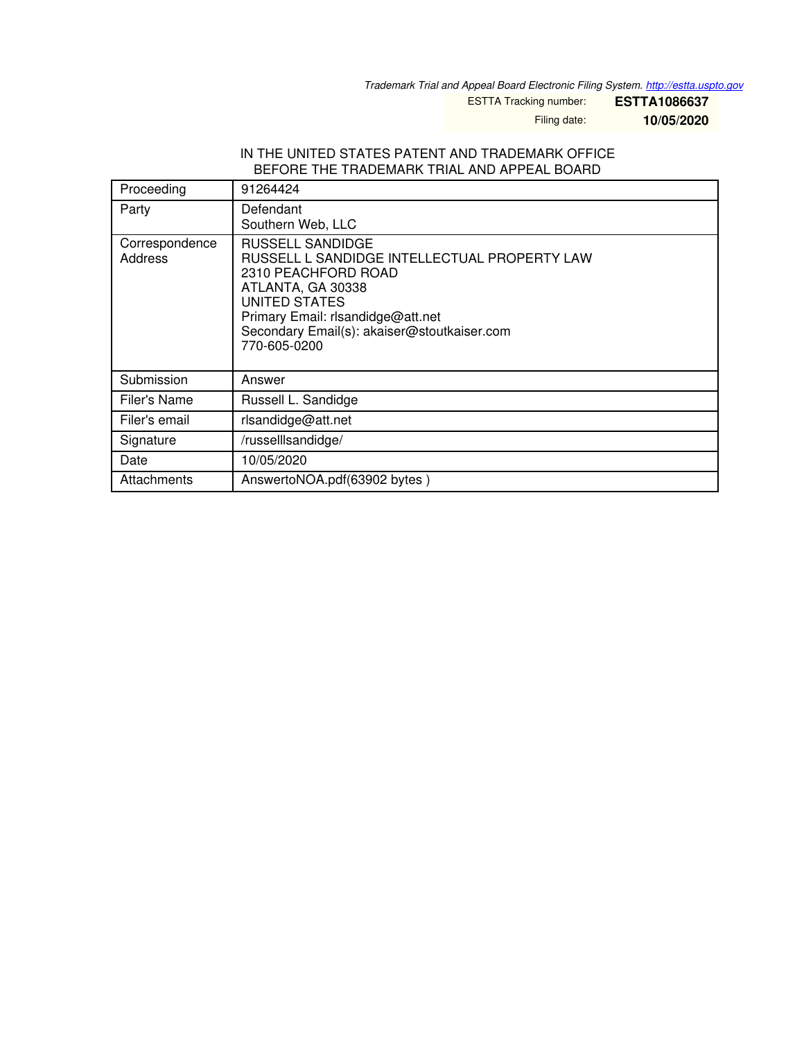*Trademark Trial and Appeal Board Electronic Filing System. <http://estta.uspto.gov>*

ESTTA Tracking number: **ESTTA1086637**

Filing date: **10/05/2020**

#### IN THE UNITED STATES PATENT AND TRADEMARK OFFICE BEFORE THE TRADEMARK TRIAL AND APPEAL BOARD

| Proceeding                | 91264424                                                                                                                                                                                                                          |
|---------------------------|-----------------------------------------------------------------------------------------------------------------------------------------------------------------------------------------------------------------------------------|
| Party                     | Defendant<br>Southern Web, LLC                                                                                                                                                                                                    |
| Correspondence<br>Address | RUSSELL SANDIDGE<br>RUSSELL L SANDIDGE INTELLECTUAL PROPERTY LAW<br>2310 PEACHFORD ROAD<br>ATLANTA, GA 30338<br>UNITED STATES<br>Primary Email: rlsandidge@att.net<br>Secondary Email(s): akaiser@stoutkaiser.com<br>770-605-0200 |
| Submission                | Answer                                                                                                                                                                                                                            |
| Filer's Name              | Russell L. Sandidge                                                                                                                                                                                                               |
| Filer's email             | rlsandidge@att.net                                                                                                                                                                                                                |
| Signature                 | /russelllsandidge/                                                                                                                                                                                                                |
| Date                      | 10/05/2020                                                                                                                                                                                                                        |
| Attachments               | AnswertoNOA.pdf(63902 bytes)                                                                                                                                                                                                      |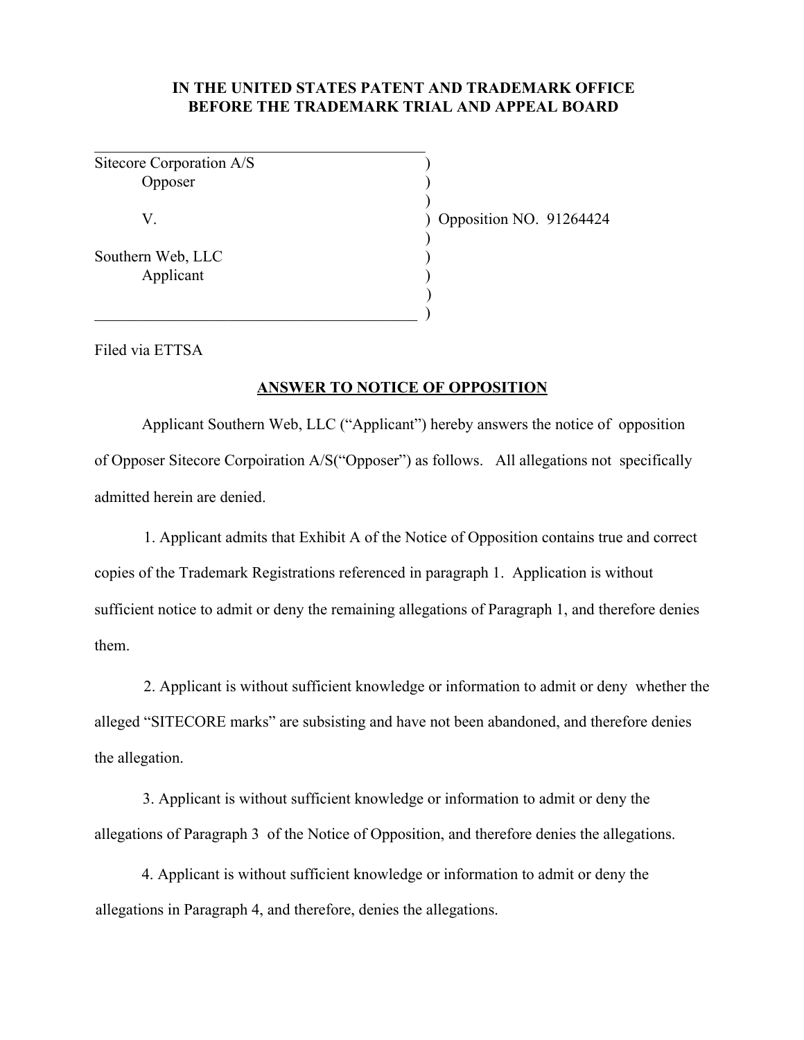# **IN THE UNITED STATES PATENT AND TRADEMARK OFFICE BEFORE THE TRADEMARK TRIAL AND APPEAL BOARD**

)

)

)

Sitecore Corporation A/S ) Opposer )

 $\overline{\phantom{a}}$  , and the set of the set of the set of the set of the set of the set of the set of the set of the set of the set of the set of the set of the set of the set of the set of the set of the set of the set of the s

 $\qquad \qquad )$ 

Southern Web, LLC (1998) Applicant (1)

V. ) Opposition NO. 91264424

Filed via ETTSA

#### **ANSWER TO NOTICE OF OPPOSITION**

Applicant Southern Web, LLC ("Applicant") hereby answers the notice of opposition of Opposer Sitecore Corpoiration A/S("Opposer") as follows. All allegations not specifically admitted herein are denied.

1. Applicant admits that Exhibit A of the Notice of Opposition contains true and correct copies of the Trademark Registrations referenced in paragraph 1. Application is without sufficient notice to admit or deny the remaining allegations of Paragraph 1, and therefore denies them.

2. Applicant is without sufficient knowledge or information to admit or deny whether the alleged "SITECORE marks" are subsisting and have not been abandoned, and therefore denies the allegation.

3. Applicant is without sufficient knowledge or information to admit or deny the allegations of Paragraph 3 of the Notice of Opposition, and therefore denies the allegations.

4. Applicant is without sufficient knowledge or information to admit or deny the allegations in Paragraph 4, and therefore, denies the allegations.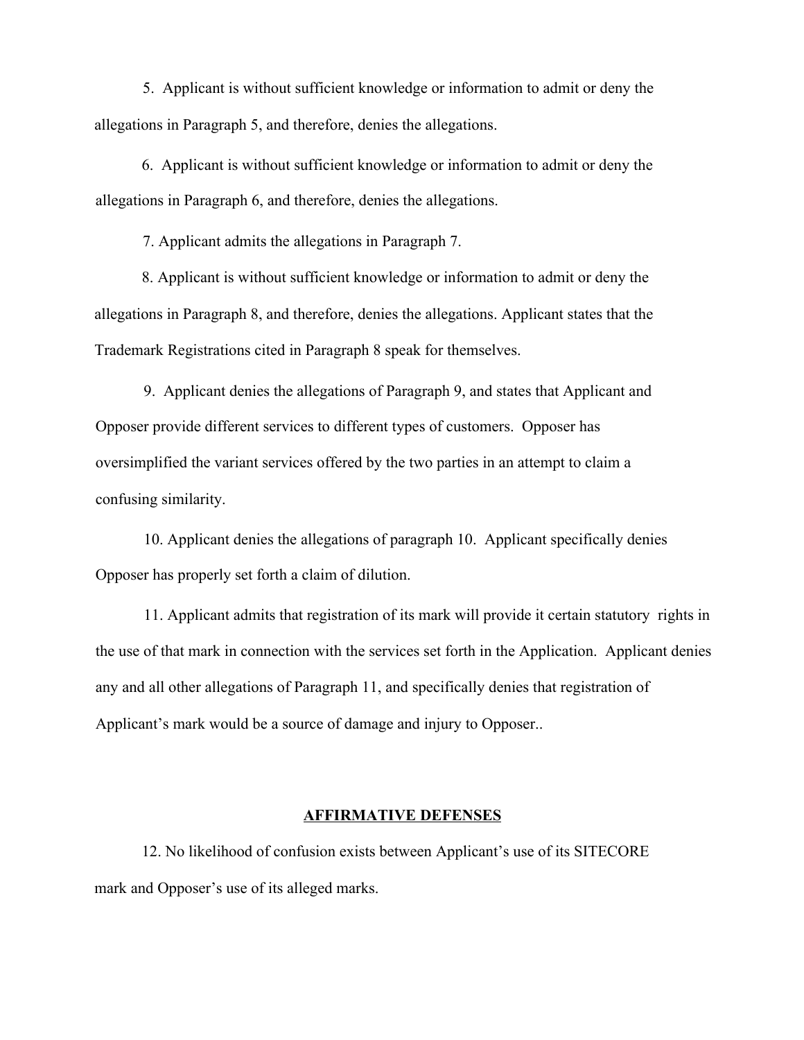5. Applicant is without sufficient knowledge or information to admit or deny the allegations in Paragraph 5, and therefore, denies the allegations.

6. Applicant is without sufficient knowledge or information to admit or deny the allegations in Paragraph 6, and therefore, denies the allegations.

7. Applicant admits the allegations in Paragraph 7.

8. Applicant is without sufficient knowledge or information to admit or deny the allegations in Paragraph 8, and therefore, denies the allegations. Applicant states that the Trademark Registrations cited in Paragraph 8 speak for themselves.

9. Applicant denies the allegations of Paragraph 9, and states that Applicant and Opposer provide different services to different types of customers. Opposer has oversimplified the variant services offered by the two parties in an attempt to claim a confusing similarity.

10. Applicant denies the allegations of paragraph 10. Applicant specifically denies Opposer has properly set forth a claim of dilution.

11. Applicant admits that registration of its mark will provide it certain statutory rights in the use of that mark in connection with the services set forth in the Application. Applicant denies any and all other allegations of Paragraph 11, and specifically denies that registration of Applicant's mark would be a source of damage and injury to Opposer..

## **AFFIRMATIVE DEFENSES**

12. No likelihood of confusion exists between Applicant's use of its SITECORE mark and Opposer's use of its alleged marks.